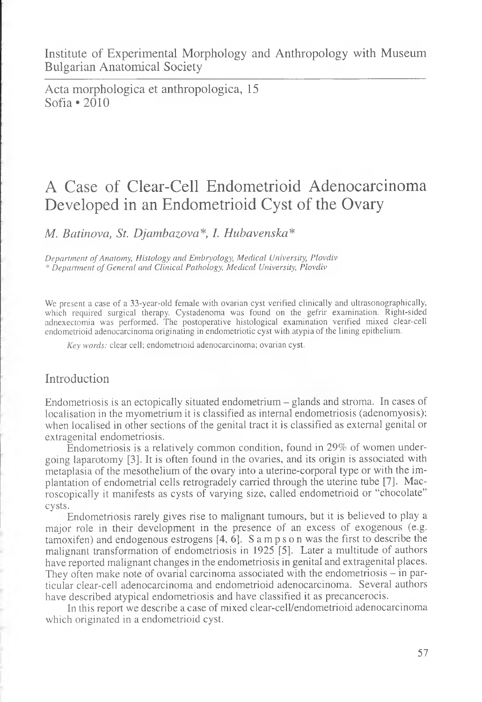Acta morphologica et anthropologica, 15 Sofia • 2010

# A Case of Clear-Cell Endometrioid Adenocarcinoma Developed in an Endometrioid Cyst of the Ovary

*M. Batinova, St. Djambazova\*, I. Hubavenska\**

*Department of Anatomy, Histology and Embryology, Medical University, Plovdiv* \* *Department of General and Clinical Pathology, Medical University, Plovdiv*

We present a case of a 33-year-old female with ovarian cyst verified clinically and ultrasonographically, which required surgical therapy. Cystadenoma was found on the gefrir examination. Right-sided adnexectomia was performed. The postoperative histological examination verified mixed clear-cell endometrioid adenocarcinoma originating in endometriotic cyst with atypia of the lining epithelium.

*Key words:* clear cell; endometrioid adenocarcinoma; ovarian cyst.

## Introduction

Endometriosis is an ectopically situated endometrium - glands and stroma. In cases of localisation in the myometrium it is classified as internal endometriosis (adenomyosis); when localised in other sections of the genital tract it is classified as external genital or extragenital endometriosis.

Endometriosis is a relatively common condition, found in 29% of women undergoing laparotomy [3]. It is often found in the ovaries, and its origin is associated with metaplasia of the mesothelium of the ovary into a uterine-corporal type or with the implantation of endometrial cells retrogradely carried through the uterine tube [7]. Macroscopically it manifests as cysts of varying size, called endometrioid or "chocolate" cysts.

Endometriosis rarely gives rise to malignant tumours, but it is believed to play a major role in their development in the presence of an excess of exogenous (e.g. tamoxifen) and endogenous estrogens  $[4, 6]$ . S amps on was the first to describe the malignant transformation of endometriosis in 1925 [5]. Later a multitude of authors have reported malignant changes in the endometriosis in genital and extragenital places. They often make note of ovarial carcinoma associated with the endometriosis  $-$  in particular clear-cell adenocarcinoma and endometrioid adenocarcinoma. Several authors have described atypical endometriosis and have classified it as precancerocis.

In this report we describe a case of mixed clear-cell/endometrioid adenocarcinoma which originated in a endometrioid cyst.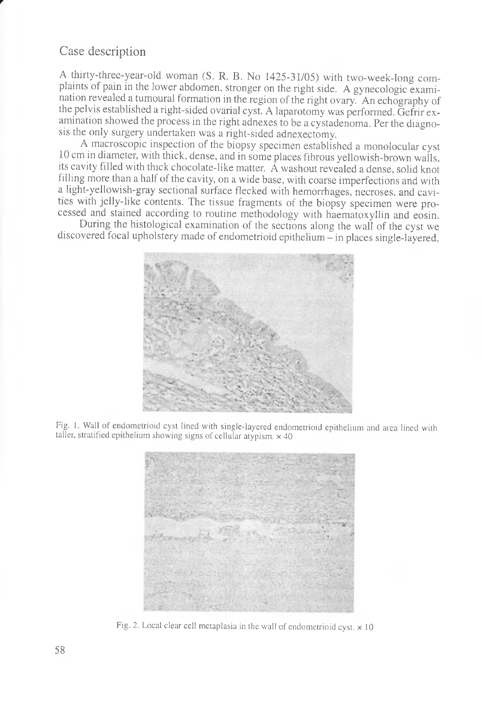### Case description

*r*

A thirty-three-year-old woman (S. R. B. No 1425-31/05) with two-week-long complaints of pain in the lower abdomen, stronger on the right side. A gynecologic examination revealed a tumoural formation in the region of the right ovary. An echography of the pelvis established a right-sided ovarial cyst. A laparotomy was performed. Gefrir examination showed the process in the right adnexes to be a cystadenoma. Per the diagnosis the only surgery undertaken was a right-sided adnexectomy.

A macroscopic inspection of the biopsy specimen established a monolocular cyst 10 cm in diameter, with thick, dense, and in some places fibrous yellowish-brown walls, its cavity filled with thick chocolate-like matter.  $\hat{A}$  washout revealed a dense, solid knot filling more than a half of the cavity, on a wide base, with coarse imperfections and with a light-yellowish-gray sectional surface flecked with hemorrhages, necroses, and cavities with jelly-like contents. The tissue fragments of the biopsy specimen were processed and stained according to routine methodology with haematoxyllin and eosin.

During the histological examination of the sections along the wall of the cyst we discovered focal upholstery made of endometrioid epithelium - in places single-layered,



Fig. 1. Wall of endometrioid cyst lined with single-layered endometrioid epithelium and area lined with taller, stratified epithelium showing signs of cellular atypism.  $\times$  40



Fig. 2. Local clear cell metaplasia in the wall of endometrioid cyst,  $\times$  10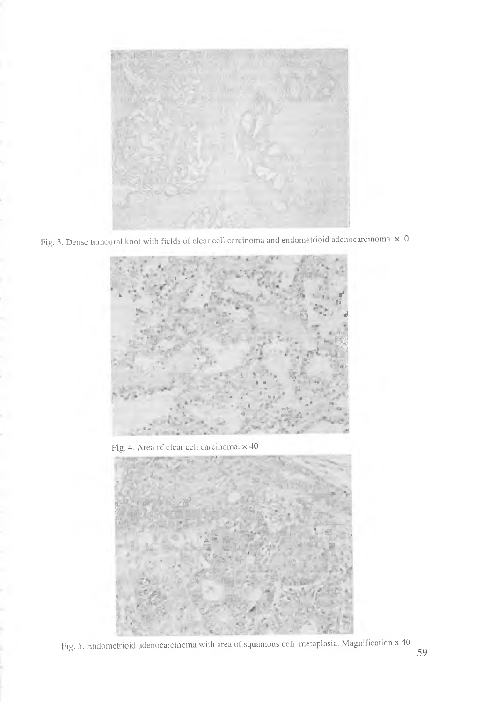

Fig. 3. Dense tumoural knot with fields of clear cell carcinoma and endometrioid adenocarcinoma. x10



Fig. 4. Area of clear cell carcinoma. x 40



Fig. 5. Endometrioid adenocarcinoma with area of squamous cell metaplasia. Magnification x 40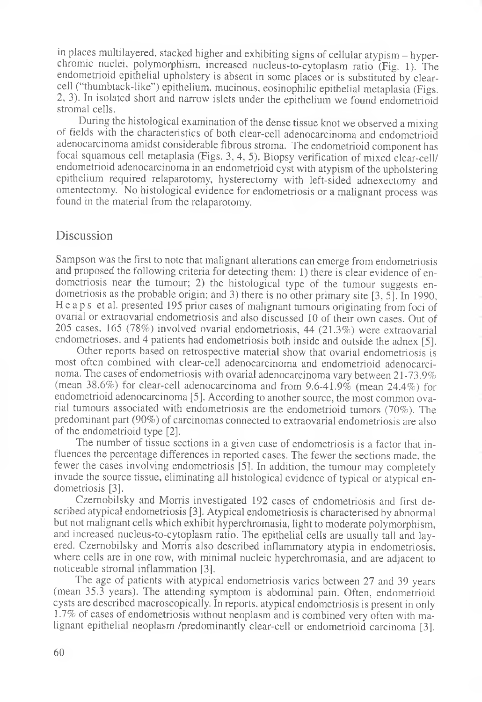in places multilayered, stacked higher and exhibiting signs of cellular atypism — hyperchromic nuclei, polymorphism, increased nucleus-to-cytoplasm ratio (Fig. 1). The endometrioid epithelial upholstery is absent in some places or is substituted by clearcell ("thumbtack-like") epithelium, mucinous, eosinophilic epithelial metaplasia (Figs. 2, 3). In isolated short and narrow islets under the epithelium we found endometrioid stromal cells.

During the histological examination of the dense tissue knot we observed a mixing of fields with the characteristics of both clear-cell adenocarcinoma and endometrioid adenocarcinoma amidst considerable fibrous stroma. The endometrioid component has focal squamous cell metaplasia (Figs. 3, 4, 5). Biopsy verification of mixed clear-cell/ endometrioid adenocarcinoma in an endometrioid cyst with atypism of the upholstering epithelium required relaparotomy, hysterectomy with left-sided adnexectomy and omentectomy. No histological evidence for endometriosis or a malignant process was found in the material from the relaparotomy.

#### Discussion

Sampson was the first to note that malignant alterations can emerge from endometriosis and proposed the following criteria for detecting them: 1) there is clear evidence of endometriosis near the tumour; 2) the histological type of the tumour suggests endometriosis as the probable origin; and 3) there is no other primary site [3, 5]. In 1990, Heaps et al. presented 195 prior cases of malignant tumours originating from foci of ovarial or extraovarial endometriosis and also discussed 10 of their own cases. Out of 205 cases, 165 (78%) involved ovarial endometriosis, 44 (21.3%) were extraovarial endometrioses, and 4 patients had endometriosis both inside and outside the adnex [5].

Other reports based on retrospective material show that ovarial endometriosis is most often combined with clear-cell adenocarcinoma and endometrioid adenocarcinoma. The cases of endometriosis with ovarial adenocarcinoma vary between 21-73.9% (mean 38.6%) for clear-cell adenocarcinoma and from 9.6-41.9% (mean 24.4%) for endometrioid adenocarcinoma [5]. According to another source, the most common ovarial tumours associated with endometriosis are the endometrioid tumors (70%). The predominant part (90%) of carcinomas connected to extraovarial endometriosis are also of the endometrioid type [2].

The number of tissue sections in a given case of endometriosis is a factor that influences the percentage differences in reported cases. The fewer the sections made, the fewer the cases involving endometriosis [5]. In addition, the tumour may completely invade the source tissue, eliminating all histological evidence of typical or atypical endometriosis [3].

Czernobilsky and Morris investigated 192 cases of endometriosis and first described atypical endometriosis [3]. Atypical endometriosis is characterised by abnormal but not malignant cells which exhibit hyperchromasia, light to moderate polymorphism, and increased nucleus-to-cytoplasm ratio. The epithelial cells are usually tall and layered. Czernobilsky and Morris also described inflammatory atypia in endometriosis, where cells are in one row, with minimal nucleic hyperchromasia, and are adjacent to noticeable stromal inflammation [3].

The age of patients with atypical endometriosis varies between 27 and 39 years (mean 35.3 years). The attending symptom is abdominal pain. Often, endometrioid cysts are described macroscopically. In reports, atypical endometriosis is present in only 1.7% of cases of endometriosis without neoplasm and is combined very often with malignant epithelial neoplasm /predominantly clear-cell or endometrioid carcinoma [3].